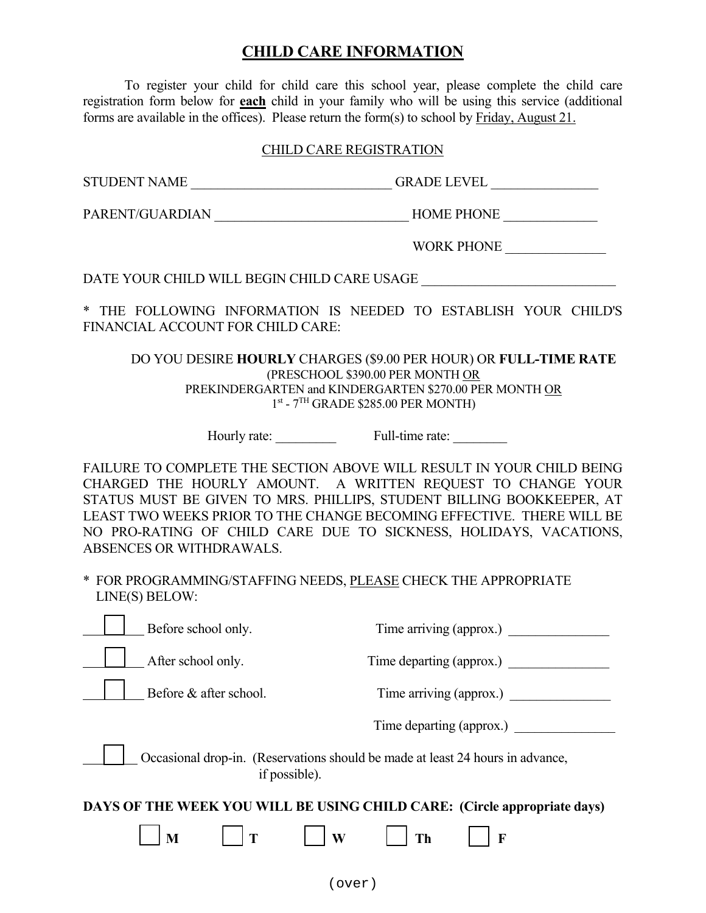## **CHILD CARE INFORMATION**

 To register your child for child care this school year, please complete the child care registration form below for **each** child in your family who will be using this service (additional forms are available in the offices). Please return the form(s) to school by Friday, August 21.

## CHILD CARE REGISTRATION

PARENT/GUARDIAN HOME PHONE

WORK PHONE \_\_\_\_\_\_\_\_\_\_\_\_\_\_\_

DATE YOUR CHILD WILL BEGIN CHILD CARE USAGE

\* THE FOLLOWING INFORMATION IS NEEDED TO ESTABLISH YOUR CHILD'S FINANCIAL ACCOUNT FOR CHILD CARE:

DO YOU DESIRE **HOURLY** CHARGES (\$9.00 PER HOUR) OR **FULL-TIME RATE** (PRESCHOOL \$390.00 PER MONTH OR PREKINDERGARTEN and KINDERGARTEN \$270.00 PER MONTH OR  $1<sup>st</sup>$  -  $7<sup>TH</sup>$  GRADE \$285.00 PER MONTH)

Hourly rate: Full-time rate:

FAILURE TO COMPLETE THE SECTION ABOVE WILL RESULT IN YOUR CHILD BEING CHARGED THE HOURLY AMOUNT. A WRITTEN REQUEST TO CHANGE YOUR STATUS MUST BE GIVEN TO MRS. PHILLIPS, STUDENT BILLING BOOKKEEPER, AT LEAST TWO WEEKS PRIOR TO THE CHANGE BECOMING EFFECTIVE. THERE WILL BE NO PRO-RATING OF CHILD CARE DUE TO SICKNESS, HOLIDAYS, VACATIONS, ABSENCES OR WITHDRAWALS.

\* FOR PROGRAMMING/STAFFING NEEDS, PLEASE CHECK THE APPROPRIATE LINE(S) BELOW:

| Before school only.                                                                             | Time arriving (approx.)  |  |
|-------------------------------------------------------------------------------------------------|--------------------------|--|
| After school only.                                                                              | Time departing (approx.) |  |
| Before & after school.                                                                          | Time arriving (approx.)  |  |
|                                                                                                 | Time departing (approx.) |  |
| Occasional drop-in. (Reservations should be made at least 24 hours in advance,<br>if possible). |                          |  |
| DAYS OF THE WEEK YOU WILL BE USING CHILD CARE: (Circle appropriate days)                        |                          |  |
| $\mathbf{T}$<br>M                                                                               | W<br>$\mathbf F$<br>Th   |  |
|                                                                                                 |                          |  |

(over)